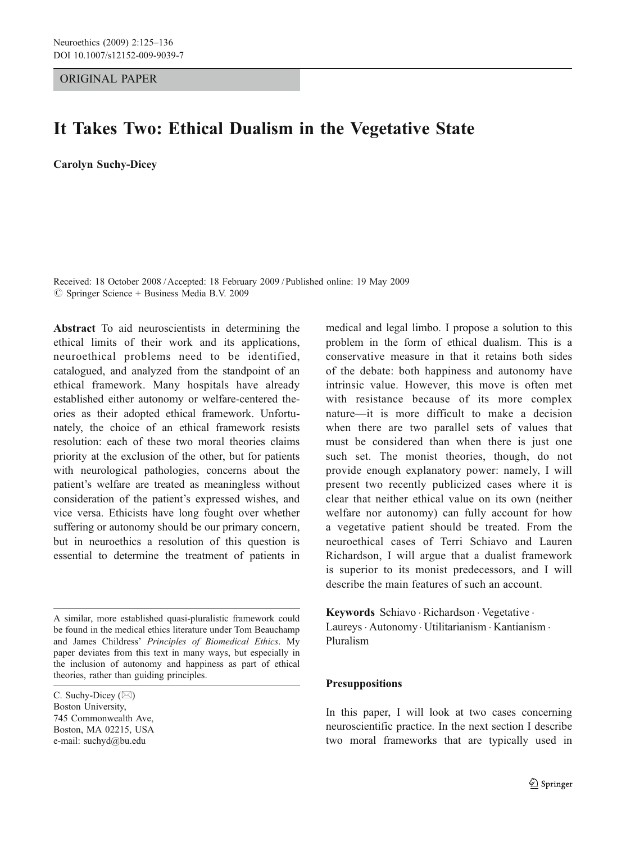# ORIGINAL PAPER

# It Takes Two: Ethical Dualism in the Vegetative State

Carolyn Suchy-Dicey

Received: 18 October 2008 /Accepted: 18 February 2009 / Published online: 19 May 2009  $\circled{c}$  Springer Science + Business Media B.V. 2009

Abstract To aid neuroscientists in determining the ethical limits of their work and its applications, neuroethical problems need to be identified, catalogued, and analyzed from the standpoint of an ethical framework. Many hospitals have already established either autonomy or welfare-centered theories as their adopted ethical framework. Unfortunately, the choice of an ethical framework resists resolution: each of these two moral theories claims priority at the exclusion of the other, but for patients with neurological pathologies, concerns about the patient's welfare are treated as meaningless without consideration of the patient's expressed wishes, and vice versa. Ethicists have long fought over whether suffering or autonomy should be our primary concern, but in neuroethics a resolution of this question is essential to determine the treatment of patients in

C. Suchy-Dicey (*\**) Boston University, 745 Commonwealth Ave, Boston, MA 02215, USA e-mail: suchyd@bu.edu

medical and legal limbo. I propose a solution to this problem in the form of ethical dualism. This is a conservative measure in that it retains both sides of the debate: both happiness and autonomy have intrinsic value. However, this move is often met with resistance because of its more complex nature—it is more difficult to make a decision when there are two parallel sets of values that must be considered than when there is just one such set. The monist theories, though, do not provide enough explanatory power: namely, I will present two recently publicized cases where it is clear that neither ethical value on its own (neither welfare nor autonomy) can fully account for how a vegetative patient should be treated. From the neuroethical cases of Terri Schiavo and Lauren Richardson, I will argue that a dualist framework is superior to its monist predecessors, and I will describe the main features of such an account.

Keywords Schiavo . Richardson . Vegetative . Laureys . Autonomy . Utilitarianism . Kantianism . Pluralism

#### Presuppositions

In this paper, I will look at two cases concerning neuroscientific practice. In the next section I describe two moral frameworks that are typically used in

A similar, more established quasi-pluralistic framework could be found in the medical ethics literature under Tom Beauchamp and James Childress' Principles of Biomedical Ethics. My paper deviates from this text in many ways, but especially in the inclusion of autonomy and happiness as part of ethical theories, rather than guiding principles.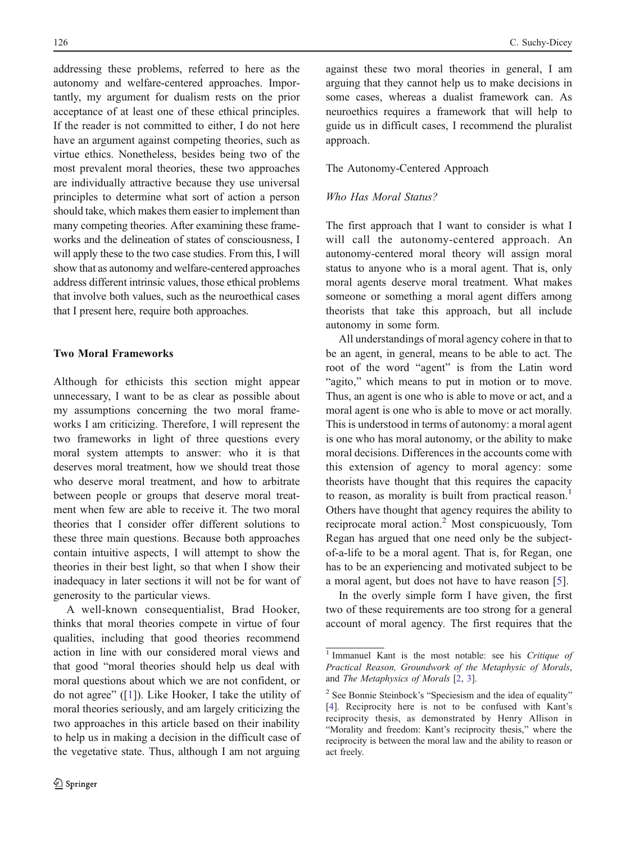addressing these problems, referred to here as the autonomy and welfare-centered approaches. Importantly, my argument for dualism rests on the prior acceptance of at least one of these ethical principles. If the reader is not committed to either, I do not here have an argument against competing theories, such as virtue ethics. Nonetheless, besides being two of the most prevalent moral theories, these two approaches are individually attractive because they use universal principles to determine what sort of action a person should take, which makes them easier to implement than many competing theories. After examining these frameworks and the delineation of states of consciousness, I will apply these to the two case studies. From this, I will show that as autonomy and welfare-centered approaches address different intrinsic values, those ethical problems that involve both values, such as the neuroethical cases that I present here, require both approaches.

# Two Moral Frameworks

Although for ethicists this section might appear unnecessary, I want to be as clear as possible about my assumptions concerning the two moral frameworks I am criticizing. Therefore, I will represent the two frameworks in light of three questions every moral system attempts to answer: who it is that deserves moral treatment, how we should treat those who deserve moral treatment, and how to arbitrate between people or groups that deserve moral treatment when few are able to receive it. The two moral theories that I consider offer different solutions to these three main questions. Because both approaches contain intuitive aspects, I will attempt to show the theories in their best light, so that when I show their inadequacy in later sections it will not be for want of generosity to the particular views.

A well-known consequentialist, Brad Hooker, thinks that moral theories compete in virtue of four qualities, including that good theories recommend action in line with our considered moral views and that good "moral theories should help us deal with moral questions about which we are not confident, or do not agree" ([[1\]](#page-11-0)). Like Hooker, I take the utility of moral theories seriously, and am largely criticizing the two approaches in this article based on their inability to help us in making a decision in the difficult case of the vegetative state. Thus, although I am not arguing against these two moral theories in general, I am arguing that they cannot help us to make decisions in some cases, whereas a dualist framework can. As neuroethics requires a framework that will help to guide us in difficult cases, I recommend the pluralist approach.

# The Autonomy-Centered Approach

#### Who Has Moral Status?

The first approach that I want to consider is what I will call the autonomy-centered approach. An autonomy-centered moral theory will assign moral status to anyone who is a moral agent. That is, only moral agents deserve moral treatment. What makes someone or something a moral agent differs among theorists that take this approach, but all include autonomy in some form.

All understandings of moral agency cohere in that to be an agent, in general, means to be able to act. The root of the word "agent" is from the Latin word "agito," which means to put in motion or to move. Thus, an agent is one who is able to move or act, and a moral agent is one who is able to move or act morally. This is understood in terms of autonomy: a moral agent is one who has moral autonomy, or the ability to make moral decisions. Differences in the accounts come with this extension of agency to moral agency: some theorists have thought that this requires the capacity to reason, as morality is built from practical reason.<sup>1</sup> Others have thought that agency requires the ability to reciprocate moral action.<sup>2</sup> Most conspicuously, Tom Regan has argued that one need only be the subjectof-a-life to be a moral agent. That is, for Regan, one has to be an experiencing and motivated subject to be a moral agent, but does not have to have reason [[5\]](#page-11-0).

In the overly simple form I have given, the first two of these requirements are too strong for a general account of moral agency. The first requires that the

<sup>&</sup>lt;sup>1</sup> Immanuel Kant is the most notable: see his Critique of Practical Reason, Groundwork of the Metaphysic of Morals, and The Metaphysics of Morals [\[2](#page-11-0), [3](#page-11-0)].

<sup>&</sup>lt;sup>2</sup> See Bonnie Steinbock's "Speciesism and the idea of equality" [[4](#page-11-0)]. Reciprocity here is not to be confused with Kant's reciprocity thesis, as demonstrated by Henry Allison in "Morality and freedom: Kant's reciprocity thesis," where the reciprocity is between the moral law and the ability to reason or act freely.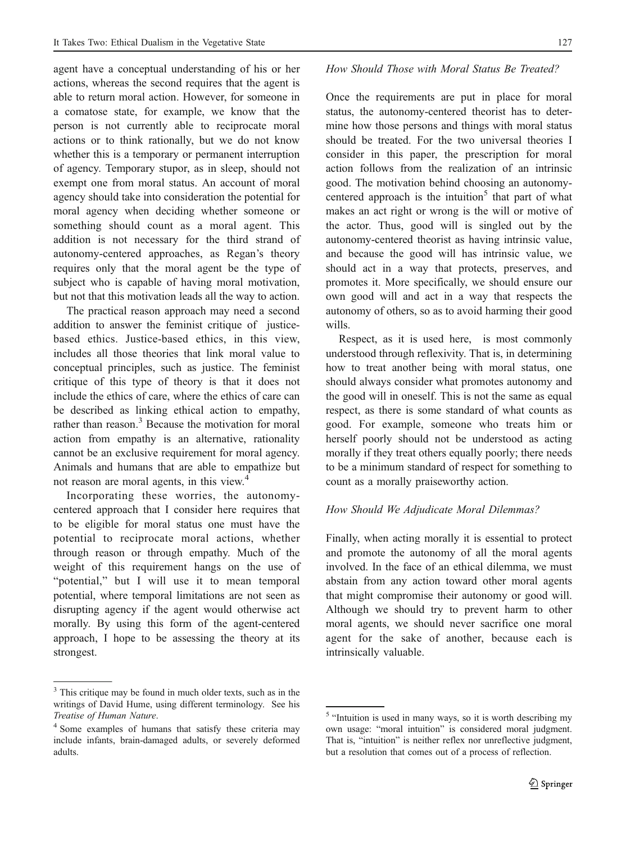agent have a conceptual understanding of his or her actions, whereas the second requires that the agent is able to return moral action. However, for someone in a comatose state, for example, we know that the person is not currently able to reciprocate moral actions or to think rationally, but we do not know whether this is a temporary or permanent interruption of agency. Temporary stupor, as in sleep, should not exempt one from moral status. An account of moral agency should take into consideration the potential for moral agency when deciding whether someone or something should count as a moral agent. This addition is not necessary for the third strand of autonomy-centered approaches, as Regan's theory requires only that the moral agent be the type of subject who is capable of having moral motivation, but not that this motivation leads all the way to action.

The practical reason approach may need a second addition to answer the feminist critique of justicebased ethics. Justice-based ethics, in this view, includes all those theories that link moral value to conceptual principles, such as justice. The feminist critique of this type of theory is that it does not include the ethics of care, where the ethics of care can be described as linking ethical action to empathy, rather than reason.<sup>3</sup> Because the motivation for moral action from empathy is an alternative, rationality cannot be an exclusive requirement for moral agency. Animals and humans that are able to empathize but not reason are moral agents, in this view.<sup>4</sup>

Incorporating these worries, the autonomycentered approach that I consider here requires that to be eligible for moral status one must have the potential to reciprocate moral actions, whether through reason or through empathy. Much of the weight of this requirement hangs on the use of "potential," but I will use it to mean temporal potential, where temporal limitations are not seen as disrupting agency if the agent would otherwise act morally. By using this form of the agent-centered approach, I hope to be assessing the theory at its strongest.

#### How Should Those with Moral Status Be Treated?

Once the requirements are put in place for moral status, the autonomy-centered theorist has to determine how those persons and things with moral status should be treated. For the two universal theories I consider in this paper, the prescription for moral action follows from the realization of an intrinsic good. The motivation behind choosing an autonomycentered approach is the intuition<sup>5</sup> that part of what makes an act right or wrong is the will or motive of the actor. Thus, good will is singled out by the autonomy-centered theorist as having intrinsic value, and because the good will has intrinsic value, we should act in a way that protects, preserves, and promotes it. More specifically, we should ensure our own good will and act in a way that respects the autonomy of others, so as to avoid harming their good wills.

Respect, as it is used here, is most commonly understood through reflexivity. That is, in determining how to treat another being with moral status, one should always consider what promotes autonomy and the good will in oneself. This is not the same as equal respect, as there is some standard of what counts as good. For example, someone who treats him or herself poorly should not be understood as acting morally if they treat others equally poorly; there needs to be a minimum standard of respect for something to count as a morally praiseworthy action.

#### How Should We Adjudicate Moral Dilemmas?

Finally, when acting morally it is essential to protect and promote the autonomy of all the moral agents involved. In the face of an ethical dilemma, we must abstain from any action toward other moral agents that might compromise their autonomy or good will. Although we should try to prevent harm to other moral agents, we should never sacrifice one moral agent for the sake of another, because each is intrinsically valuable.

<sup>&</sup>lt;sup>3</sup> This critique may be found in much older texts, such as in the writings of David Hume, using different terminology. See his Treatise of Human Nature.

<sup>4</sup> Some examples of humans that satisfy these criteria may include infants, brain-damaged adults, or severely deformed adults.

<sup>5</sup> "Intuition is used in many ways, so it is worth describing my own usage: "moral intuition" is considered moral judgment. That is, "intuition" is neither reflex nor unreflective judgment, but a resolution that comes out of a process of reflection.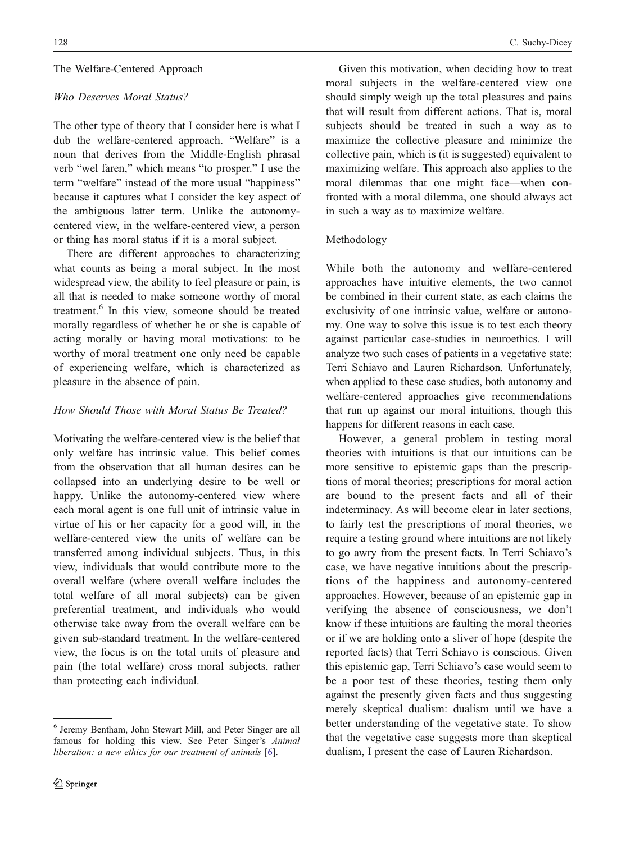# The Welfare-Centered Approach

#### Who Deserves Moral Status?

The other type of theory that I consider here is what I dub the welfare-centered approach. "Welfare" is a noun that derives from the Middle-English phrasal verb "wel faren," which means "to prosper." I use the term "welfare" instead of the more usual "happiness" because it captures what I consider the key aspect of the ambiguous latter term. Unlike the autonomycentered view, in the welfare-centered view, a person or thing has moral status if it is a moral subject.

There are different approaches to characterizing what counts as being a moral subject. In the most widespread view, the ability to feel pleasure or pain, is all that is needed to make someone worthy of moral treatment.<sup>6</sup> In this view, someone should be treated morally regardless of whether he or she is capable of acting morally or having moral motivations: to be worthy of moral treatment one only need be capable of experiencing welfare, which is characterized as pleasure in the absence of pain.

# How Should Those with Moral Status Be Treated?

Motivating the welfare-centered view is the belief that only welfare has intrinsic value. This belief comes from the observation that all human desires can be collapsed into an underlying desire to be well or happy. Unlike the autonomy-centered view where each moral agent is one full unit of intrinsic value in virtue of his or her capacity for a good will, in the welfare-centered view the units of welfare can be transferred among individual subjects. Thus, in this view, individuals that would contribute more to the overall welfare (where overall welfare includes the total welfare of all moral subjects) can be given preferential treatment, and individuals who would otherwise take away from the overall welfare can be given sub-standard treatment. In the welfare-centered view, the focus is on the total units of pleasure and pain (the total welfare) cross moral subjects, rather than protecting each individual.

Given this motivation, when deciding how to treat moral subjects in the welfare-centered view one should simply weigh up the total pleasures and pains that will result from different actions. That is, moral subjects should be treated in such a way as to maximize the collective pleasure and minimize the collective pain, which is (it is suggested) equivalent to maximizing welfare. This approach also applies to the moral dilemmas that one might face—when confronted with a moral dilemma, one should always act in such a way as to maximize welfare.

### Methodology

While both the autonomy and welfare-centered approaches have intuitive elements, the two cannot be combined in their current state, as each claims the exclusivity of one intrinsic value, welfare or autonomy. One way to solve this issue is to test each theory against particular case-studies in neuroethics. I will analyze two such cases of patients in a vegetative state: Terri Schiavo and Lauren Richardson. Unfortunately, when applied to these case studies, both autonomy and welfare-centered approaches give recommendations that run up against our moral intuitions, though this happens for different reasons in each case.

However, a general problem in testing moral theories with intuitions is that our intuitions can be more sensitive to epistemic gaps than the prescriptions of moral theories; prescriptions for moral action are bound to the present facts and all of their indeterminacy. As will become clear in later sections, to fairly test the prescriptions of moral theories, we require a testing ground where intuitions are not likely to go awry from the present facts. In Terri Schiavo's case, we have negative intuitions about the prescriptions of the happiness and autonomy-centered approaches. However, because of an epistemic gap in verifying the absence of consciousness, we don't know if these intuitions are faulting the moral theories or if we are holding onto a sliver of hope (despite the reported facts) that Terri Schiavo is conscious. Given this epistemic gap, Terri Schiavo's case would seem to be a poor test of these theories, testing them only against the presently given facts and thus suggesting merely skeptical dualism: dualism until we have a better understanding of the vegetative state. To show that the vegetative case suggests more than skeptical dualism, I present the case of Lauren Richardson.

<sup>6</sup> Jeremy Bentham, John Stewart Mill, and Peter Singer are all famous for holding this view. See Peter Singer's Animal liberation: a new ethics for our treatment of animals [\[6](#page-11-0)].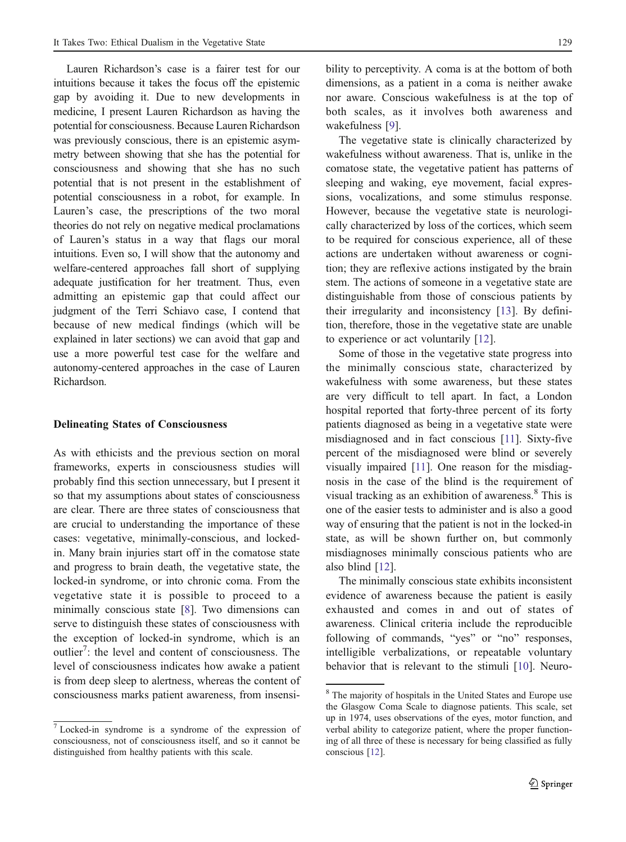Lauren Richardson's case is a fairer test for our intuitions because it takes the focus off the epistemic gap by avoiding it. Due to new developments in medicine, I present Lauren Richardson as having the potential for consciousness. Because Lauren Richardson was previously conscious, there is an epistemic asymmetry between showing that she has the potential for consciousness and showing that she has no such potential that is not present in the establishment of potential consciousness in a robot, for example. In Lauren's case, the prescriptions of the two moral theories do not rely on negative medical proclamations of Lauren's status in a way that flags our moral intuitions. Even so, I will show that the autonomy and welfare-centered approaches fall short of supplying adequate justification for her treatment. Thus, even admitting an epistemic gap that could affect our judgment of the Terri Schiavo case, I contend that because of new medical findings (which will be explained in later sections) we can avoid that gap and use a more powerful test case for the welfare and autonomy-centered approaches in the case of Lauren Richardson.

## Delineating States of Consciousness

As with ethicists and the previous section on moral frameworks, experts in consciousness studies will probably find this section unnecessary, but I present it so that my assumptions about states of consciousness are clear. There are three states of consciousness that are crucial to understanding the importance of these cases: vegetative, minimally-conscious, and lockedin. Many brain injuries start off in the comatose state and progress to brain death, the vegetative state, the locked-in syndrome, or into chronic coma. From the vegetative state it is possible to proceed to a minimally conscious state [\[8](#page-11-0)]. Two dimensions can serve to distinguish these states of consciousness with the exception of locked-in syndrome, which is an outlier<sup>7</sup>: the level and content of consciousness. The level of consciousness indicates how awake a patient is from deep sleep to alertness, whereas the content of consciousness marks patient awareness, from insensibility to perceptivity. A coma is at the bottom of both dimensions, as a patient in a coma is neither awake nor aware. Conscious wakefulness is at the top of both scales, as it involves both awareness and wakefulness [\[9](#page-11-0)].

The vegetative state is clinically characterized by wakefulness without awareness. That is, unlike in the comatose state, the vegetative patient has patterns of sleeping and waking, eye movement, facial expressions, vocalizations, and some stimulus response. However, because the vegetative state is neurologically characterized by loss of the cortices, which seem to be required for conscious experience, all of these actions are undertaken without awareness or cognition; they are reflexive actions instigated by the brain stem. The actions of someone in a vegetative state are distinguishable from those of conscious patients by their irregularity and inconsistency [\[13](#page-11-0)]. By definition, therefore, those in the vegetative state are unable to experience or act voluntarily [[12\]](#page-11-0).

Some of those in the vegetative state progress into the minimally conscious state, characterized by wakefulness with some awareness, but these states are very difficult to tell apart. In fact, a London hospital reported that forty-three percent of its forty patients diagnosed as being in a vegetative state were misdiagnosed and in fact conscious [[11\]](#page-11-0). Sixty-five percent of the misdiagnosed were blind or severely visually impaired [\[11\]](#page-11-0). One reason for the misdiagnosis in the case of the blind is the requirement of visual tracking as an exhibition of awareness.<sup>8</sup> This is one of the easier tests to administer and is also a good way of ensuring that the patient is not in the locked-in state, as will be shown further on, but commonly misdiagnoses minimally conscious patients who are also blind [[12\]](#page-11-0).

The minimally conscious state exhibits inconsistent evidence of awareness because the patient is easily exhausted and comes in and out of states of awareness. Clinical criteria include the reproducible following of commands, "yes" or "no" responses, intelligible verbalizations, or repeatable voluntary behavior that is relevant to the stimuli [\[10](#page-11-0)]. Neuro-

<sup>7</sup> Locked-in syndrome is a syndrome of the expression of consciousness, not of consciousness itself, and so it cannot be distinguished from healthy patients with this scale.

<sup>8</sup> The majority of hospitals in the United States and Europe use the Glasgow Coma Scale to diagnose patients. This scale, set up in 1974, uses observations of the eyes, motor function, and verbal ability to categorize patient, where the proper functioning of all three of these is necessary for being classified as fully conscious [[12](#page-11-0)].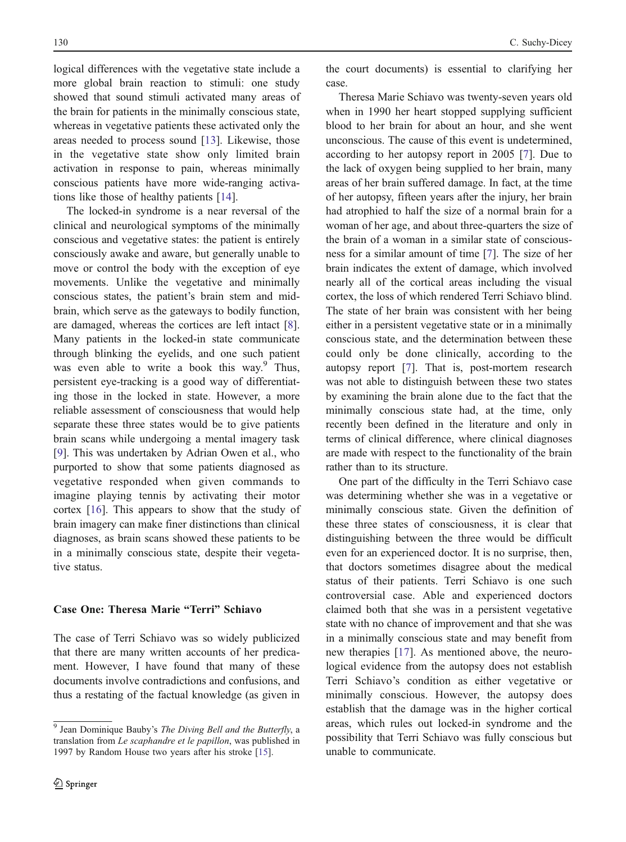logical differences with the vegetative state include a more global brain reaction to stimuli: one study showed that sound stimuli activated many areas of the brain for patients in the minimally conscious state, whereas in vegetative patients these activated only the areas needed to process sound [\[13](#page-11-0)]. Likewise, those in the vegetative state show only limited brain activation in response to pain, whereas minimally conscious patients have more wide-ranging activations like those of healthy patients [[14\]](#page-11-0).

The locked-in syndrome is a near reversal of the clinical and neurological symptoms of the minimally conscious and vegetative states: the patient is entirely consciously awake and aware, but generally unable to move or control the body with the exception of eye movements. Unlike the vegetative and minimally conscious states, the patient's brain stem and midbrain, which serve as the gateways to bodily function, are damaged, whereas the cortices are left intact [\[8](#page-11-0)]. Many patients in the locked-in state communicate through blinking the eyelids, and one such patient was even able to write a book this way.<sup>9</sup> Thus, persistent eye-tracking is a good way of differentiating those in the locked in state. However, a more reliable assessment of consciousness that would help separate these three states would be to give patients brain scans while undergoing a mental imagery task [[9\]](#page-11-0). This was undertaken by Adrian Owen et al., who purported to show that some patients diagnosed as vegetative responded when given commands to imagine playing tennis by activating their motor cortex [[16\]](#page-11-0). This appears to show that the study of brain imagery can make finer distinctions than clinical diagnoses, as brain scans showed these patients to be in a minimally conscious state, despite their vegetative status.

#### Case One: Theresa Marie "Terri" Schiavo

The case of Terri Schiavo was so widely publicized that there are many written accounts of her predicament. However, I have found that many of these documents involve contradictions and confusions, and thus a restating of the factual knowledge (as given in the court documents) is essential to clarifying her case.

Theresa Marie Schiavo was twenty-seven years old when in 1990 her heart stopped supplying sufficient blood to her brain for about an hour, and she went unconscious. The cause of this event is undetermined, according to her autopsy report in 2005 [\[7](#page-11-0)]. Due to the lack of oxygen being supplied to her brain, many areas of her brain suffered damage. In fact, at the time of her autopsy, fifteen years after the injury, her brain had atrophied to half the size of a normal brain for a woman of her age, and about three-quarters the size of the brain of a woman in a similar state of consciousness for a similar amount of time [[7\]](#page-11-0). The size of her brain indicates the extent of damage, which involved nearly all of the cortical areas including the visual cortex, the loss of which rendered Terri Schiavo blind. The state of her brain was consistent with her being either in a persistent vegetative state or in a minimally conscious state, and the determination between these could only be done clinically, according to the autopsy report [[7\]](#page-11-0). That is, post-mortem research was not able to distinguish between these two states by examining the brain alone due to the fact that the minimally conscious state had, at the time, only recently been defined in the literature and only in terms of clinical difference, where clinical diagnoses are made with respect to the functionality of the brain rather than to its structure.

One part of the difficulty in the Terri Schiavo case was determining whether she was in a vegetative or minimally conscious state. Given the definition of these three states of consciousness, it is clear that distinguishing between the three would be difficult even for an experienced doctor. It is no surprise, then, that doctors sometimes disagree about the medical status of their patients. Terri Schiavo is one such controversial case. Able and experienced doctors claimed both that she was in a persistent vegetative state with no chance of improvement and that she was in a minimally conscious state and may benefit from new therapies [\[17](#page-11-0)]. As mentioned above, the neurological evidence from the autopsy does not establish Terri Schiavo's condition as either vegetative or minimally conscious. However, the autopsy does establish that the damage was in the higher cortical areas, which rules out locked-in syndrome and the possibility that Terri Schiavo was fully conscious but unable to communicate.

 $9$  Jean Dominique Bauby's The Diving Bell and the Butterfly, a translation from Le scaphandre et le papillon, was published in 1997 by Random House two years after his stroke [[15](#page-11-0)].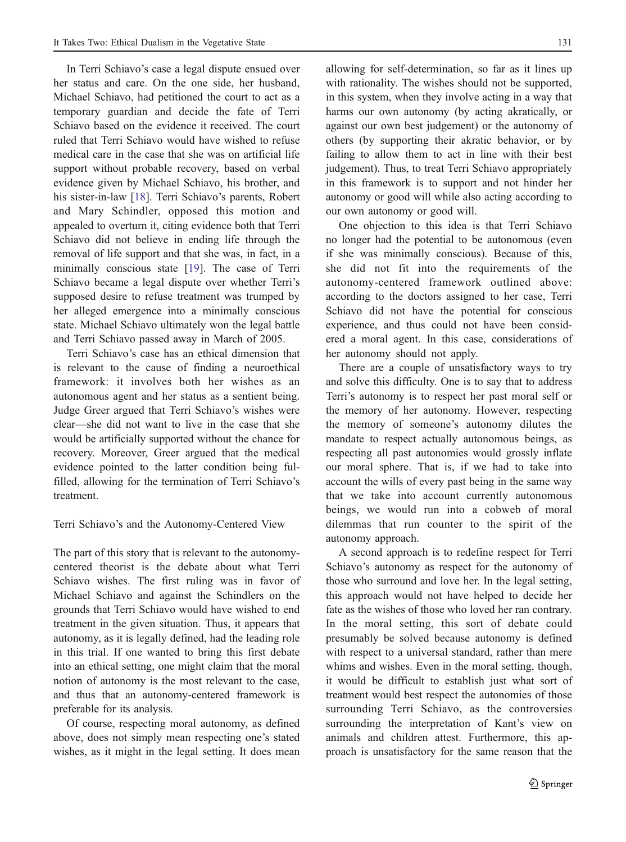In Terri Schiavo's case a legal dispute ensued over her status and care. On the one side, her husband, Michael Schiavo, had petitioned the court to act as a temporary guardian and decide the fate of Terri Schiavo based on the evidence it received. The court ruled that Terri Schiavo would have wished to refuse medical care in the case that she was on artificial life support without probable recovery, based on verbal evidence given by Michael Schiavo, his brother, and his sister-in-law [\[18](#page-11-0)]. Terri Schiavo's parents, Robert and Mary Schindler, opposed this motion and appealed to overturn it, citing evidence both that Terri Schiavo did not believe in ending life through the removal of life support and that she was, in fact, in a minimally conscious state [[19\]](#page-11-0). The case of Terri Schiavo became a legal dispute over whether Terri's supposed desire to refuse treatment was trumped by her alleged emergence into a minimally conscious state. Michael Schiavo ultimately won the legal battle and Terri Schiavo passed away in March of 2005.

Terri Schiavo's case has an ethical dimension that is relevant to the cause of finding a neuroethical framework: it involves both her wishes as an autonomous agent and her status as a sentient being. Judge Greer argued that Terri Schiavo's wishes were clear—she did not want to live in the case that she would be artificially supported without the chance for recovery. Moreover, Greer argued that the medical evidence pointed to the latter condition being fulfilled, allowing for the termination of Terri Schiavo's treatment.

Terri Schiavo's and the Autonomy-Centered View

The part of this story that is relevant to the autonomycentered theorist is the debate about what Terri Schiavo wishes. The first ruling was in favor of Michael Schiavo and against the Schindlers on the grounds that Terri Schiavo would have wished to end treatment in the given situation. Thus, it appears that autonomy, as it is legally defined, had the leading role in this trial. If one wanted to bring this first debate into an ethical setting, one might claim that the moral notion of autonomy is the most relevant to the case, and thus that an autonomy-centered framework is preferable for its analysis.

Of course, respecting moral autonomy, as defined above, does not simply mean respecting one's stated wishes, as it might in the legal setting. It does mean allowing for self-determination, so far as it lines up with rationality. The wishes should not be supported, in this system, when they involve acting in a way that harms our own autonomy (by acting akratically, or against our own best judgement) or the autonomy of others (by supporting their akratic behavior, or by failing to allow them to act in line with their best judgement). Thus, to treat Terri Schiavo appropriately in this framework is to support and not hinder her autonomy or good will while also acting according to our own autonomy or good will.

One objection to this idea is that Terri Schiavo no longer had the potential to be autonomous (even if she was minimally conscious). Because of this, she did not fit into the requirements of the autonomy-centered framework outlined above: according to the doctors assigned to her case, Terri Schiavo did not have the potential for conscious experience, and thus could not have been considered a moral agent. In this case, considerations of her autonomy should not apply.

There are a couple of unsatisfactory ways to try and solve this difficulty. One is to say that to address Terri's autonomy is to respect her past moral self or the memory of her autonomy. However, respecting the memory of someone's autonomy dilutes the mandate to respect actually autonomous beings, as respecting all past autonomies would grossly inflate our moral sphere. That is, if we had to take into account the wills of every past being in the same way that we take into account currently autonomous beings, we would run into a cobweb of moral dilemmas that run counter to the spirit of the autonomy approach.

A second approach is to redefine respect for Terri Schiavo's autonomy as respect for the autonomy of those who surround and love her. In the legal setting, this approach would not have helped to decide her fate as the wishes of those who loved her ran contrary. In the moral setting, this sort of debate could presumably be solved because autonomy is defined with respect to a universal standard, rather than mere whims and wishes. Even in the moral setting, though, it would be difficult to establish just what sort of treatment would best respect the autonomies of those surrounding Terri Schiavo, as the controversies surrounding the interpretation of Kant's view on animals and children attest. Furthermore, this approach is unsatisfactory for the same reason that the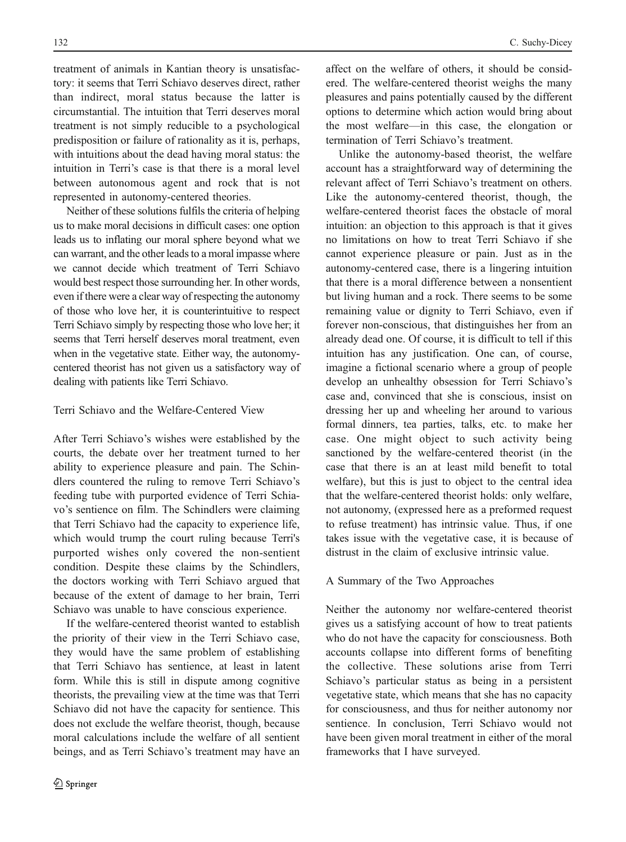treatment of animals in Kantian theory is unsatisfactory: it seems that Terri Schiavo deserves direct, rather than indirect, moral status because the latter is circumstantial. The intuition that Terri deserves moral treatment is not simply reducible to a psychological predisposition or failure of rationality as it is, perhaps, with intuitions about the dead having moral status: the intuition in Terri's case is that there is a moral level between autonomous agent and rock that is not represented in autonomy-centered theories.

Neither of these solutions fulfils the criteria of helping us to make moral decisions in difficult cases: one option leads us to inflating our moral sphere beyond what we can warrant, and the other leads to a moral impasse where we cannot decide which treatment of Terri Schiavo would best respect those surrounding her. In other words, even if there were a clear way of respecting the autonomy of those who love her, it is counterintuitive to respect Terri Schiavo simply by respecting those who love her; it seems that Terri herself deserves moral treatment, even when in the vegetative state. Either way, the autonomycentered theorist has not given us a satisfactory way of dealing with patients like Terri Schiavo.

#### Terri Schiavo and the Welfare-Centered View

After Terri Schiavo's wishes were established by the courts, the debate over her treatment turned to her ability to experience pleasure and pain. The Schindlers countered the ruling to remove Terri Schiavo's feeding tube with purported evidence of Terri Schiavo's sentience on film. The Schindlers were claiming that Terri Schiavo had the capacity to experience life, which would trump the court ruling because Terri's purported wishes only covered the non-sentient condition. Despite these claims by the Schindlers, the doctors working with Terri Schiavo argued that because of the extent of damage to her brain, Terri Schiavo was unable to have conscious experience.

If the welfare-centered theorist wanted to establish the priority of their view in the Terri Schiavo case, they would have the same problem of establishing that Terri Schiavo has sentience, at least in latent form. While this is still in dispute among cognitive theorists, the prevailing view at the time was that Terri Schiavo did not have the capacity for sentience. This does not exclude the welfare theorist, though, because moral calculations include the welfare of all sentient beings, and as Terri Schiavo's treatment may have an affect on the welfare of others, it should be considered. The welfare-centered theorist weighs the many pleasures and pains potentially caused by the different options to determine which action would bring about the most welfare—in this case, the elongation or termination of Terri Schiavo's treatment.

Unlike the autonomy-based theorist, the welfare account has a straightforward way of determining the relevant affect of Terri Schiavo's treatment on others. Like the autonomy-centered theorist, though, the welfare-centered theorist faces the obstacle of moral intuition: an objection to this approach is that it gives no limitations on how to treat Terri Schiavo if she cannot experience pleasure or pain. Just as in the autonomy-centered case, there is a lingering intuition that there is a moral difference between a nonsentient but living human and a rock. There seems to be some remaining value or dignity to Terri Schiavo, even if forever non-conscious, that distinguishes her from an already dead one. Of course, it is difficult to tell if this intuition has any justification. One can, of course, imagine a fictional scenario where a group of people develop an unhealthy obsession for Terri Schiavo's case and, convinced that she is conscious, insist on dressing her up and wheeling her around to various formal dinners, tea parties, talks, etc. to make her case. One might object to such activity being sanctioned by the welfare-centered theorist (in the case that there is an at least mild benefit to total welfare), but this is just to object to the central idea that the welfare-centered theorist holds: only welfare, not autonomy, (expressed here as a preformed request to refuse treatment) has intrinsic value. Thus, if one takes issue with the vegetative case, it is because of distrust in the claim of exclusive intrinsic value.

# A Summary of the Two Approaches

Neither the autonomy nor welfare-centered theorist gives us a satisfying account of how to treat patients who do not have the capacity for consciousness. Both accounts collapse into different forms of benefiting the collective. These solutions arise from Terri Schiavo's particular status as being in a persistent vegetative state, which means that she has no capacity for consciousness, and thus for neither autonomy nor sentience. In conclusion, Terri Schiavo would not have been given moral treatment in either of the moral frameworks that I have surveyed.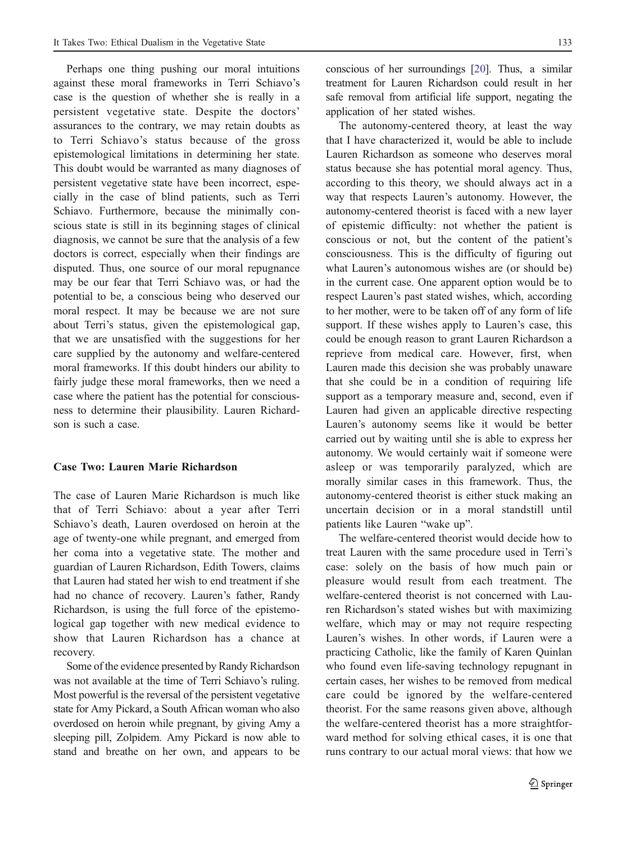Perhaps one thing pushing our moral intuitions against these moral frameworks in Terri Schiavo's case is the question of whether she is really in a persistent vegetative state. Despite the doctors' assurances to the contrary, we may retain doubts as to Terri Schiavo's status because of the gross epistemological limitations in determining her state. This doubt would be warranted as many diagnoses of persistent vegetative state have been incorrect, especially in the case of blind patients, such as Terri Schiavo. Furthermore, because the minimally conscious state is still in its beginning stages of clinical diagnosis, we cannot be sure that the analysis of a few doctors is correct, especially when their findings are disputed. Thus, one source of our moral repugnance may be our fear that Terri Schiavo was, or had the potential to be, a conscious being who deserved our moral respect. It may be because we are not sure about Terri's status, given the epistemological gap, that we are unsatisfied with the suggestions for her care supplied by the autonomy and welfare-centered moral frameworks. If this doubt hinders our ability to fairly judge these moral frameworks, then we need a case where the patient has the potential for consciousness to determine their plausibility. Lauren Richardson is such a case.

# Case Two: Lauren Marie Richardson

The case of Lauren Marie Richardson is much like that of Terri Schiavo: about a year after Terri Schiavo's death, Lauren overdosed on heroin at the age of twenty-one while pregnant, and emerged from her coma into a vegetative state. The mother and guardian of Lauren Richardson, Edith Towers, claims that Lauren had stated her wish to end treatment if she had no chance of recovery. Lauren's father, Randy Richardson, is using the full force of the epistemological gap together with new medical evidence to show that Lauren Richardson has a chance at recovery.

Some of the evidence presented by Randy Richardson was not available at the time of Terri Schiavo's ruling. Most powerful is the reversal of the persistent vegetative state for Amy Pickard, a South African woman who also overdosed on heroin while pregnant, by giving Amy a sleeping pill, Zolpidem. Amy Pickard is now able to stand and breathe on her own, and appears to be conscious of her surroundings [[20](#page-11-0)]. Thus, a similar treatment for Lauren Richardson could result in her safe removal from artificial life support, negating the application of her stated wishes.

The autonomy-centered theory, at least the way that I have characterized it, would be able to include Lauren Richardson as someone who deserves moral status because she has potential moral agency. Thus, according to this theory, we should always act in a way that respects Lauren's autonomy. However, the autonomy-centered theorist is faced with a new layer of epistemic difficulty: not whether the patient is conscious or not, but the content of the patient's consciousness. This is the difficulty of figuring out what Lauren's autonomous wishes are (or should be) in the current case. One apparent option would be to respect Lauren's past stated wishes, which, according to her mother, were to be taken off of any form of life support. If these wishes apply to Lauren's case, this could be enough reason to grant Lauren Richardson a reprieve from medical care. However, first, when Lauren made this decision she was probably unaware that she could be in a condition of requiring life support as a temporary measure and, second, even if Lauren had given an applicable directive respecting Lauren's autonomy seems like it would be better carried out by waiting until she is able to express her autonomy. We would certainly wait if someone were asleep or was temporarily paralyzed, which are morally similar cases in this framework. Thus, the autonomy-centered theorist is either stuck making an uncertain decision or in a moral standstill until patients like Lauren "wake up".

The welfare-centered theorist would decide how to treat Lauren with the same procedure used in Terri's case: solely on the basis of how much pain or pleasure would result from each treatment. The welfare-centered theorist is not concerned with Lauren Richardson's stated wishes but with maximizing welfare, which may or may not require respecting Lauren's wishes. In other words, if Lauren were a practicing Catholic, like the family of Karen Quinlan who found even life-saving technology repugnant in certain cases, her wishes to be removed from medical care could be ignored by the welfare-centered theorist. For the same reasons given above, although the welfare-centered theorist has a more straightforward method for solving ethical cases, it is one that runs contrary to our actual moral views: that how we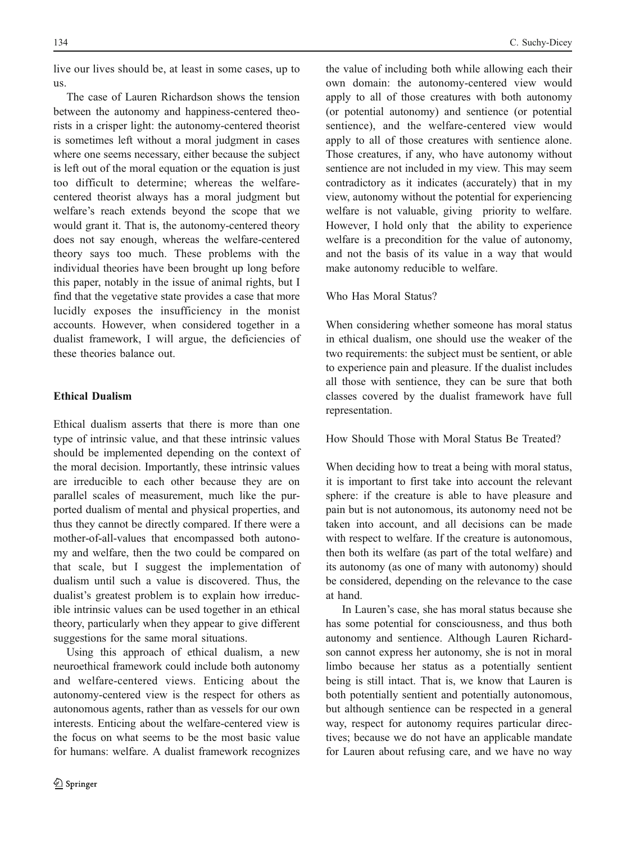live our lives should be, at least in some cases, up to us.

The case of Lauren Richardson shows the tension between the autonomy and happiness-centered theorists in a crisper light: the autonomy-centered theorist is sometimes left without a moral judgment in cases where one seems necessary, either because the subject is left out of the moral equation or the equation is just too difficult to determine; whereas the welfarecentered theorist always has a moral judgment but welfare's reach extends beyond the scope that we would grant it. That is, the autonomy-centered theory does not say enough, whereas the welfare-centered theory says too much. These problems with the individual theories have been brought up long before this paper, notably in the issue of animal rights, but I find that the vegetative state provides a case that more lucidly exposes the insufficiency in the monist accounts. However, when considered together in a dualist framework, I will argue, the deficiencies of these theories balance out.

# Ethical Dualism

Ethical dualism asserts that there is more than one type of intrinsic value, and that these intrinsic values should be implemented depending on the context of the moral decision. Importantly, these intrinsic values are irreducible to each other because they are on parallel scales of measurement, much like the purported dualism of mental and physical properties, and thus they cannot be directly compared. If there were a mother-of-all-values that encompassed both autonomy and welfare, then the two could be compared on that scale, but I suggest the implementation of dualism until such a value is discovered. Thus, the dualist's greatest problem is to explain how irreducible intrinsic values can be used together in an ethical theory, particularly when they appear to give different suggestions for the same moral situations.

Using this approach of ethical dualism, a new neuroethical framework could include both autonomy and welfare-centered views. Enticing about the autonomy-centered view is the respect for others as autonomous agents, rather than as vessels for our own interests. Enticing about the welfare-centered view is the focus on what seems to be the most basic value for humans: welfare. A dualist framework recognizes the value of including both while allowing each their own domain: the autonomy-centered view would apply to all of those creatures with both autonomy (or potential autonomy) and sentience (or potential sentience), and the welfare-centered view would apply to all of those creatures with sentience alone. Those creatures, if any, who have autonomy without sentience are not included in my view. This may seem contradictory as it indicates (accurately) that in my view, autonomy without the potential for experiencing welfare is not valuable, giving priority to welfare. However, I hold only that the ability to experience welfare is a precondition for the value of autonomy, and not the basis of its value in a way that would make autonomy reducible to welfare.

# Who Has Moral Status?

When considering whether someone has moral status in ethical dualism, one should use the weaker of the two requirements: the subject must be sentient, or able to experience pain and pleasure. If the dualist includes all those with sentience, they can be sure that both classes covered by the dualist framework have full representation.

How Should Those with Moral Status Be Treated?

When deciding how to treat a being with moral status, it is important to first take into account the relevant sphere: if the creature is able to have pleasure and pain but is not autonomous, its autonomy need not be taken into account, and all decisions can be made with respect to welfare. If the creature is autonomous, then both its welfare (as part of the total welfare) and its autonomy (as one of many with autonomy) should be considered, depending on the relevance to the case at hand.

In Lauren's case, she has moral status because she has some potential for consciousness, and thus both autonomy and sentience. Although Lauren Richardson cannot express her autonomy, she is not in moral limbo because her status as a potentially sentient being is still intact. That is, we know that Lauren is both potentially sentient and potentially autonomous, but although sentience can be respected in a general way, respect for autonomy requires particular directives; because we do not have an applicable mandate for Lauren about refusing care, and we have no way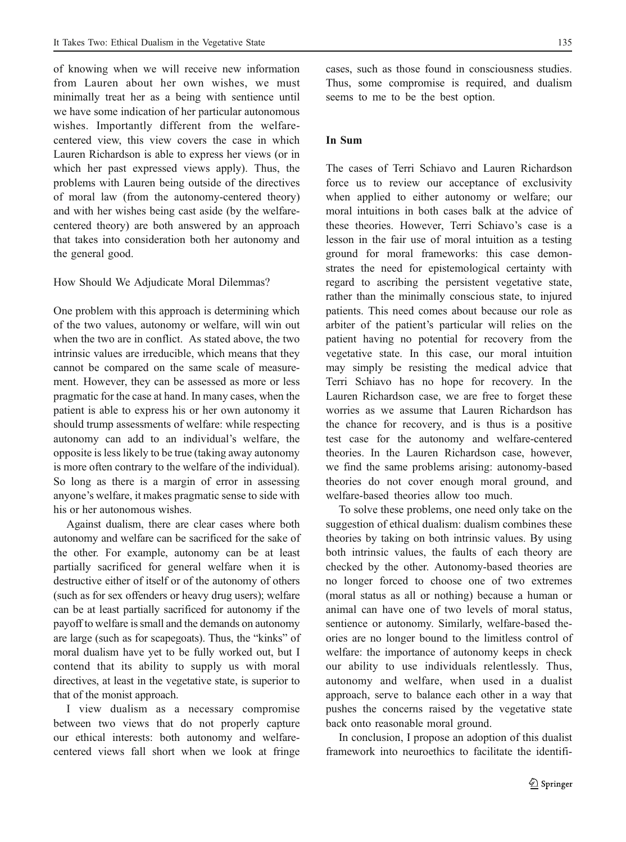of knowing when we will receive new information from Lauren about her own wishes, we must minimally treat her as a being with sentience until we have some indication of her particular autonomous wishes. Importantly different from the welfarecentered view, this view covers the case in which Lauren Richardson is able to express her views (or in which her past expressed views apply). Thus, the problems with Lauren being outside of the directives of moral law (from the autonomy-centered theory) and with her wishes being cast aside (by the welfarecentered theory) are both answered by an approach that takes into consideration both her autonomy and the general good.

How Should We Adjudicate Moral Dilemmas?

One problem with this approach is determining which of the two values, autonomy or welfare, will win out when the two are in conflict. As stated above, the two intrinsic values are irreducible, which means that they cannot be compared on the same scale of measurement. However, they can be assessed as more or less pragmatic for the case at hand. In many cases, when the patient is able to express his or her own autonomy it should trump assessments of welfare: while respecting autonomy can add to an individual's welfare, the opposite is less likely to be true (taking away autonomy is more often contrary to the welfare of the individual). So long as there is a margin of error in assessing anyone's welfare, it makes pragmatic sense to side with his or her autonomous wishes.

Against dualism, there are clear cases where both autonomy and welfare can be sacrificed for the sake of the other. For example, autonomy can be at least partially sacrificed for general welfare when it is destructive either of itself or of the autonomy of others (such as for sex offenders or heavy drug users); welfare can be at least partially sacrificed for autonomy if the payoff to welfare is small and the demands on autonomy are large (such as for scapegoats). Thus, the "kinks" of moral dualism have yet to be fully worked out, but I contend that its ability to supply us with moral directives, at least in the vegetative state, is superior to that of the monist approach.

I view dualism as a necessary compromise between two views that do not properly capture our ethical interests: both autonomy and welfarecentered views fall short when we look at fringe cases, such as those found in consciousness studies. Thus, some compromise is required, and dualism seems to me to be the best option.

# In Sum

The cases of Terri Schiavo and Lauren Richardson force us to review our acceptance of exclusivity when applied to either autonomy or welfare; our moral intuitions in both cases balk at the advice of these theories. However, Terri Schiavo's case is a lesson in the fair use of moral intuition as a testing ground for moral frameworks: this case demonstrates the need for epistemological certainty with regard to ascribing the persistent vegetative state, rather than the minimally conscious state, to injured patients. This need comes about because our role as arbiter of the patient's particular will relies on the patient having no potential for recovery from the vegetative state. In this case, our moral intuition may simply be resisting the medical advice that Terri Schiavo has no hope for recovery. In the Lauren Richardson case, we are free to forget these worries as we assume that Lauren Richardson has the chance for recovery, and is thus is a positive test case for the autonomy and welfare-centered theories. In the Lauren Richardson case, however, we find the same problems arising: autonomy-based theories do not cover enough moral ground, and welfare-based theories allow too much.

To solve these problems, one need only take on the suggestion of ethical dualism: dualism combines these theories by taking on both intrinsic values. By using both intrinsic values, the faults of each theory are checked by the other. Autonomy-based theories are no longer forced to choose one of two extremes (moral status as all or nothing) because a human or animal can have one of two levels of moral status, sentience or autonomy. Similarly, welfare-based theories are no longer bound to the limitless control of welfare: the importance of autonomy keeps in check our ability to use individuals relentlessly. Thus, autonomy and welfare, when used in a dualist approach, serve to balance each other in a way that pushes the concerns raised by the vegetative state back onto reasonable moral ground.

In conclusion, I propose an adoption of this dualist framework into neuroethics to facilitate the identifi